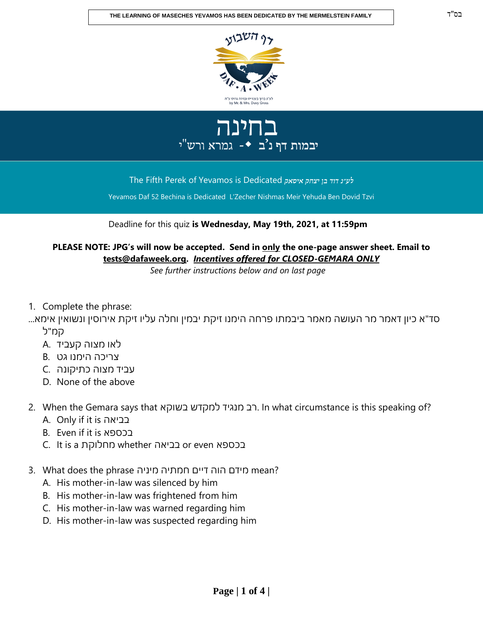





The Fifth Perek of Yevamos is Dedicated

Yevamos Daf 52 Bechina is Dedicated L'Zecher Nishmas Meir Yehuda Ben Dovid Tzvi

## Deadline for this quiz **is Wednesday, May 19th, 2021, at 11:59pm**

**PLEASE NOTE: JPG's will now be accepted. Send in only the one-page answer sheet. Email to tests@dafaweek.org.** *Incentives offered for CLOSED-GEMARA ONLY*

*See further instructions below and on last page*

- 1. Complete the phrase:
- סד"א כיון דאמר מר העושה מאמר ביבמתו פרחה הימנו זיקת יבמין וחלה עליו זיקת אירוסין ונשואין אימא... קמ"ל
	- לאו מצוה קעביד .A
	- צריכה הימנו גט .B
	- עביד מצוה כתיקונה .C
	- D. None of the above
- 2. When the Gemara says that בשוקא למקדש מנגיד רב. In what circumstance is this speaking of?
	- A. Only if it is בביאה
	- B. Even if it is בכספא
	- C. It is a מחלוקת whether בביאה or even בכספא
- 3. What does the phrase מידם הוה דיים חמתיה מיניה
	- A. His mother-in-law was silenced by him
	- B. His mother-in-law was frightened from him
	- C. His mother-in-law was warned regarding him
	- D. His mother-in-law was suspected regarding him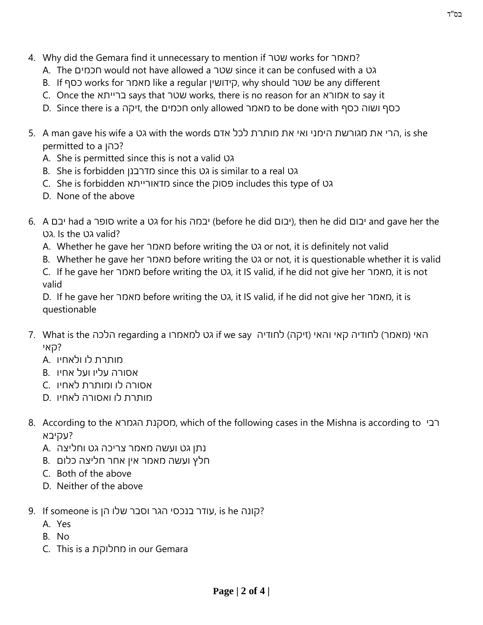- 4. Why did the Gemara find it unnecessary to mention if שטר works for מאמר?
	- A. The חכמים would not have allowed a שטר since it can be confused with a גט
	- B. If כסף works for מאמר like a regular קידושין, why should שטר be any different
	- C. Once the ברייתא says that שטר works, there is no reason for an אמורא to say it
	- D. Since there is a זיקה, the חכמים only allowed מאמר to be done with כסף ושוה כסף
- 5. A man gave his wife a הרי את מגורשת הימני ואי את מותרת לכל אדם, with the words הרי את מגורשת הימני ואי את permitted to a כהן?
	- A. She is permitted since this is not a valid גט
	- B. She is forbidden מדרבנן since this גט is similar to a real גט
	- C. She is forbidden מדאורייתא since the פסוק includes this type of גט
	- D. None of the above
- 6. A יבחה א o write a גט for his יבום (before he did יבום), then he did יבום had a יבום v had a יבום גט. Is the גט. valid?
	- A. Whether he gave her מאמר before writing the גט or not, it is definitely not valid
	- B. Whether he gave her מאמר before writing the גט or not, it is questionable whether it is valid
	- C. If he gave her מאמר before writing the גט, it IS valid, if he did not give her מאמר, it is not valid

D. If he gave her מאמר before writing the גט, it IS valid, if he did not give her מאמר, it is questionable

- האי (מאמר) לחודיה קאי והאי (זיקה) לחודיה if we say הלכה T. What is the הלכה ?קאי
	- מותרת לו ולאחיו .A
	- אסורה עליו ועל אחיו .B
	- אסורה לו ומותרת לאחיו .C
	- מותרת לו ואסורה לאחיו .D
- 8. According to the הגמרא מסקנת, which of the following cases in the Mishna is according to רבי ?עקיבא
	- נתן גט ועשה מאמר צריכה גט וחליצה .A
	- חלץ ועשה מאמר אין אחר חליצה כלום .B
	- C. Both of the above
	- D. Neither of the above
- 9. Je קונה is he עודר בנכסי הגר וסבר שלו הן, is he קונה
	- A. Yes
	- B. No
	- C. This is a מחלוקת in our Gemara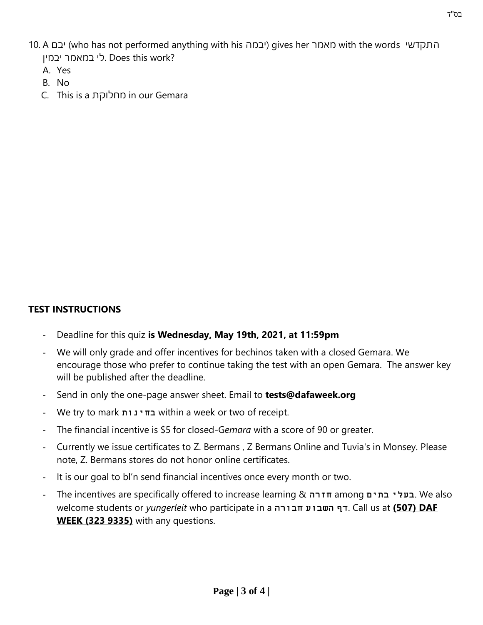- 10. A יבם) who has not performed anything with his יבמה (gives her מאמר with the words התקדשי לי במאמר יבמיו. Does this work?
	- A. Yes
	- B. No
	- C. This is a מחלוקת in our Gemara

## **TEST INSTRUCTIONS**

- Deadline for this quiz **is Wednesday, May 19th, 2021, at 11:59pm**
- We will only grade and offer incentives for bechinos taken with a closed Gemara. We encourage those who prefer to continue taking the test with an open Gemara. The answer key will be published after the deadline.
- Send in only the one-page answer sheet. Email to **tests@dafaweek.org**
- We try to mark **בחינות** within a week or two of receipt.
- The financial incentive is \$5 for closed-Gemara with a score of 90 or greater.
- Currently we issue certificates to Z. Bermans , Z Bermans Online and Tuvia's in Monsey. Please note, Z. Bermans stores do not honor online certificates.
- It is our goal to bl'n send financial incentives once every month or two.
- The incentives are specifically offered to increase learning & **חזרה** among **בתים בעלי**. We also welcome students or *yungerleit* who participate in a **חבורה השבוע דף**. Call us at **(507) DAF WEEK (323 9335)** with any questions.